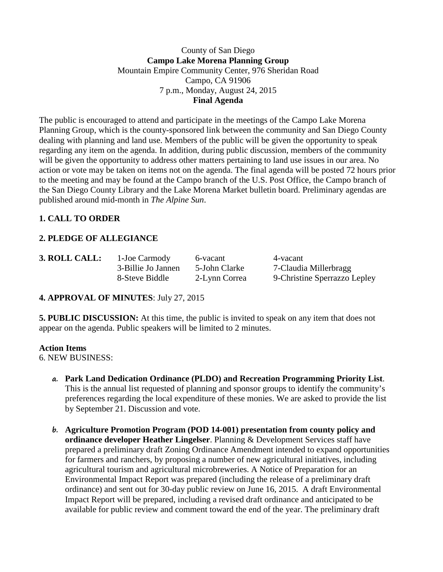### County of San Diego **Campo Lake Morena Planning Group** Mountain Empire Community Center, 976 Sheridan Road Campo, CA 91906 7 p.m., Monday, August 24, 2015 **Final Agenda**

The public is encouraged to attend and participate in the meetings of the Campo Lake Morena Planning Group, which is the county-sponsored link between the community and San Diego County dealing with planning and land use. Members of the public will be given the opportunity to speak regarding any item on the agenda. In addition, during public discussion, members of the community will be given the opportunity to address other matters pertaining to land use issues in our area. No action or vote may be taken on items not on the agenda. The final agenda will be posted 72 hours prior to the meeting and may be found at the Campo branch of the U.S. Post Office, the Campo branch of the San Diego County Library and the Lake Morena Market bulletin board. Preliminary agendas are published around mid-month in *The Alpine Sun*.

# **1. CALL TO ORDER**

## **2. PLEDGE OF ALLEGIANCE**

**3. ROLL CALL:** 1-Joe Carmody 6-vacant 4-vacant

3-Billie Jo Jannen 5-John Clarke 7-Claudia Millerbragg 8-Steve Biddle 2-Lynn Correa 9-Christine Sperrazzo Lepley

### **4. APPROVAL OF MINUTES**: July 27, 2015

**5. PUBLIC DISCUSSION:** At this time, the public is invited to speak on any item that does not appear on the agenda. Public speakers will be limited to 2 minutes.

#### **Action Items**

6. NEW BUSINESS:

- **a. Park Land Dedication Ordinance (PLDO) and Recreation Programming Priority List**. This is the annual list requested of planning and sponsor groups to identify the community's preferences regarding the local expenditure of these monies. We are asked to provide the list by September 21. Discussion and vote.
- **b. Agriculture Promotion Program (POD 14-001) presentation from county policy and ordinance developer Heather Lingelser**. Planning & Development Services staff have prepared a preliminary draft Zoning Ordinance Amendment intended to expand opportunities for farmers and ranchers, by proposing a number of new agricultural initiatives, including agricultural tourism and agricultural microbreweries. A Notice of Preparation for an Environmental Impact Report was prepared (including the release of a preliminary draft ordinance) and sent out for 30-day public review on June 16, 2015. A draft Environmental Impact Report will be prepared, including a revised draft ordinance and anticipated to be available for public review and comment toward the end of the year. The preliminary draft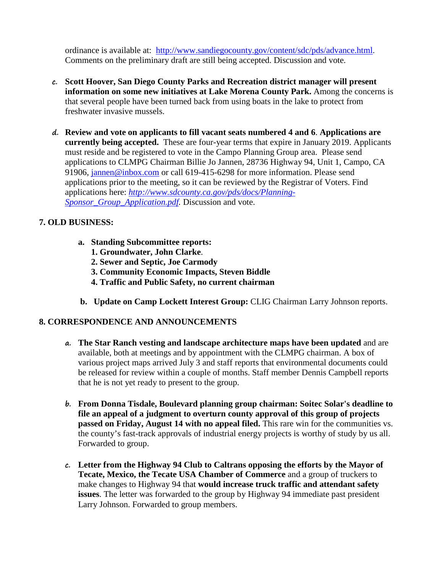ordinance is available at: [http://www.sandiegocounty.gov/content/sdc/pds/advance.html.](http://www.sandiegocounty.gov/content/sdc/pds/advance.html) Comments on the preliminary draft are still being accepted. Discussion and vote.

- **c. Scott Hoover, San Diego County Parks and Recreation district manager will present information on some new initiatives at Lake Morena County Park.** Among the concerns is that several people have been turned back from using boats in the lake to protect from freshwater invasive mussels.
- **d. Review and vote on applicants to fill vacant seats numbered 4 and 6**. **Applications are currently being accepted.** These are four-year terms that expire in January 2019. Applicants must reside and be registered to vote in the Campo Planning Group area. Please send applications to CLMPG Chairman Billie Jo Jannen, 28736 Highway 94, Unit 1, Campo, CA 91906, [jannen@inbox.com](mailto:campojoe@yahoo.com) or call 619-415-6298 for more information. Please send applications prior to the meeting, so it can be reviewed by the Registrar of Voters. Find applications here: *[http://www.sdcounty.ca.gov/pds/docs/Planning-](http://www.sdcounty.ca.gov/pds/docs/Planning-Sponsor_Group_Application.pdf)[Sponsor\\_Group\\_Application.pdf.](http://www.sdcounty.ca.gov/pds/docs/Planning-Sponsor_Group_Application.pdf)* Discussion and vote.

## **7. OLD BUSINESS:**

- **a. Standing Subcommittee reports:**
	- **1. Groundwater, John Clarke**.
	- **2. Sewer and Septic, Joe Carmody**
	- **3. Community Economic Impacts, Steven Biddle**
	- **4. Traffic and Public Safety, no current chairman**
- **b. Update on Camp Lockett Interest Group:** CLIG Chairman Larry Johnson reports.

### **8. CORRESPONDENCE AND ANNOUNCEMENTS**

- **a. The Star Ranch vesting and landscape architecture maps have been updated** and are available, both at meetings and by appointment with the CLMPG chairman. A box of various project maps arrived July 3 and staff reports that environmental documents could be released for review within a couple of months. Staff member Dennis Campbell reports that he is not yet ready to present to the group.
- **b. From Donna Tisdale, Boulevard planning group chairman: Soitec Solar's deadline to file an appeal of a judgment to overturn county approval of this group of projects passed on Friday, August 14 with no appeal filed.** This rare win for the communities vs. the county's fast-track approvals of industrial energy projects is worthy of study by us all. Forwarded to group.
- **c. Letter from the Highway 94 Club to Caltrans opposing the efforts by the Mayor of Tecate, Mexico, the Tecate USA Chamber of Commerce** and a group of truckers to make changes to Highway 94 that **would increase truck traffic and attendant safety issues**. The letter was forwarded to the group by Highway 94 immediate past president Larry Johnson. Forwarded to group members.